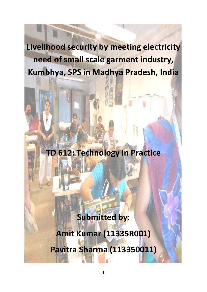**Livelihood security by meeting electricity need of small scale garment industry, Kumbhya, SPS in Madhya Pradesh, India**

# **TD 612: Technology In Practice**

# **Submitted by:**

# **Amit Kumar (11335R001)**

**Pavitra Sharma (113350011)**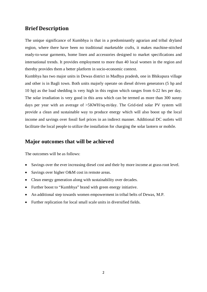### **Brief Description**

The unique significance of Kumbhya is that in a predominantly agrarian and tribal dryland region, where there have been no traditional marketable crafts, it makes machine-stitched ready-to-wear garments, home linen and accessories designed to market specifications and international trends. It provides employment to more than 40 local women in the region and thereby provides them a better platform in socio-economic context.

Kumbhya has two major units in Dewas district in Madhya pradesh, one in Bhikupura village and other is in Bagli town. Both units majorly operate on diesel driven generators (5 hp and 10 hp) as the load shedding is very high in this region which ranges from 6-22 hrs per day. The solar irradiation is very good in this area which can be termed as more than 300 sunny days per year with an average of >5KWH/sq-m/day. The Grid-tied solar PV system will provide a clean and sustainable way to produce energy which will also boost up the local income and savings over fossil fuel prices in an indirect manner. Additional DC outlets will facilitate the local people to utilize the installation for charging the solar lantern or mobile.

#### **Major outcomes that will be achieved**

The outcomes will be as follows:

- Savings over the ever increasing diesel cost and their by more income at grass root level.
- Savings over higher O&M cost in remote areas.
- Clean energy generation along with sustainability over decades.
- Further boost to "Kumbhya" brand with green energy initiative.
- An additional step towards women empowerment in tribal belts of Dewas, M.P.
- Further replication for local small scale units in diversified fields.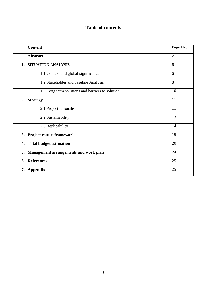# **Table of contents**

| <b>Content</b>                                   | Page No.       |
|--------------------------------------------------|----------------|
| <b>Abstract</b>                                  | $\overline{2}$ |
| 1. SITUATION ANALYSIS                            | 6              |
| 1.1 Context and global significance              | 6              |
| 1.2 Stakeholder and baseline Analysis            | 8              |
| 1.3 Long term solutions and barriers to solution | 10             |
| 2. Strategy                                      | 11             |
| 2.1 Project rationale                            | 11             |
| 2.2 Sustainability                               | 13             |
| 2.3 Replicability                                | 14             |
| 3. Project results framework                     | 15             |
| 4. Total budget estimation                       | 20             |
| 5. Management arrangements and work plan         | 24             |
| <b>References</b><br>6.                          | 25             |
| 7. Appendix                                      | 25             |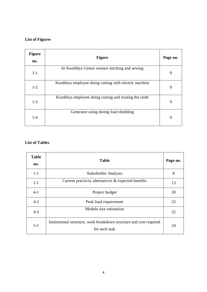#### **List of Figures**

| <b>Figure</b><br>no. | <b>Figure</b>                                        | Page no. |
|----------------------|------------------------------------------------------|----------|
| $1-1$                | At Kumbhya Centre women stitching and sewing         | 9        |
| $1-2$                | Kumbhya employee doing cutting with electric machine | 9        |
| $1-3$                | Kumbhya employee doing cutting and ironing the cloth | 9        |
| $1-4$                | Generator using during load shedding                 | 9        |

#### **List of Tables**

| <b>Table</b><br>no. | <b>Table</b>                                                                         | Page no. |
|---------------------|--------------------------------------------------------------------------------------|----------|
| $1-1$               | Stakeholder Analysis                                                                 | 8        |
| $2 - 1$             | Current practices, alternatives $\&$ expected benefits                               | 13       |
| $4-1$               | Project budget                                                                       | 20       |
| $4-2$               | Peak load requirement                                                                | 22       |
| $4-3$               | Module size estimation                                                               | 22       |
| $5 - 1$             | Institutional structure, work breakdown structure and cost required<br>for each task | 24       |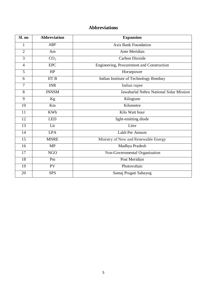# **Abbreviations**

| Sl. no         | <b>Abbreviation</b> | <b>Expansion</b>                          |  |
|----------------|---------------------|-------------------------------------------|--|
| 1              | <b>ABF</b>          | <b>Axis Bank Foundation</b>               |  |
| $\overline{2}$ | Am                  | Ante Meridian                             |  |
| 3              | CO <sub>2</sub>     | Carbon Dioxide                            |  |
| $\overline{4}$ | <b>EPC</b>          | Engineering, Procurement and Construction |  |
| 5              | HP                  | Horsepower                                |  |
| 6              | IITB                | Indian Institute of Technology Bombay     |  |
| 7              | <b>INR</b>          | Indian rupee                              |  |
| 8              | <b>JNNSM</b>        | Jawaharlal Nehru National Solar Mission   |  |
| 9              | Kg                  | Kilogram                                  |  |
| 10             | Km                  | Kilometre                                 |  |
| 11             | <b>KWh</b>          | Kilo Watt hour                            |  |
| 12             | <b>LED</b>          | light-emitting diode                      |  |
| 13             | Lit                 | Litre                                     |  |
| 14             | <b>LPA</b>          | Lakh Per Annum                            |  |
| 15             | <b>MNRE</b>         | Ministry of New and Renewable Energy      |  |
| 16             | <b>MP</b>           | Madhya Pradesh                            |  |
| 17             | <b>NGO</b>          | Non-Governmental Organization             |  |
| 18             | Pm                  | Post Meridian                             |  |
| 19             | PV                  | Photovoltaic                              |  |
| 20             | <b>SPS</b>          | Samaj Pragati Sahayog                     |  |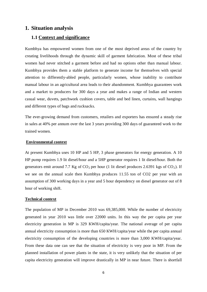### **1. Situation analysis**

#### **1.1 Context and significance**

Kumbhya has empowered women from one of the most deprived areas of the country by creating livelihoods through the dynamic skill of garment fabrication. Most of these tribal women had never stitched a garment before and had no options other than manual labour. Kumbhya provides them a stable platform to generate income for themselves with special attention to differently-abled people, particularly women, whose inability to contribute manual labour in an agricultural area leads to their abandonment. Kumbhya guarantees work and a market to producers for 300 days a year and makes a range of Indian and western casual wear, duvets, patchwork cushion covers, table and bed linen, curtains, wall hangings and different types of bags and rucksacks.

The ever-growing demand from customers, retailers and exporters has ensured a steady rise in sales at 40% per annum over the last 3 years providing 300 days of guaranteed work to the trained women.

#### **Environmental context**

At present Kumbhya uses 10 HP and 5 HP, 3 phase generators for energy generation. A 10 HP pump requires 1.9 lit diesel/hour and a 5HP generator requires 1 lit diesel/hour. Both the generators emit around 7.7 Kg of  $CO_2$  per hour (1 lit diesel produces 2.6391 kgs of  $CO_2$ ). If we see on the annual scale then Kumbhya produces 11.55 ton of CO2 per year with an assumption of 300 working days in a year and 5 hour dependency on diesel generator out of 8 hour of working shift.

#### **Technical context**

The population of MP in December 2010 was 69,385,000. While the number of electricity generated in year 2010 was little over 22000 units. In this way the per capita per year electricity generation in MP is 329 KWH/capita/year. The national average of per capita annual electricity consumption is more than 650 KWH/capita/year while the per capita annual electricity consumption of the developing countries is more than 3,000 KWH/capita/year. From these data one can see that the situation of electricity is very poor in MP. From the planned installation of power plants in the state, it is very unlikely that the situation of per capita electricity generation will improve drastically in MP in near future. There is shortfall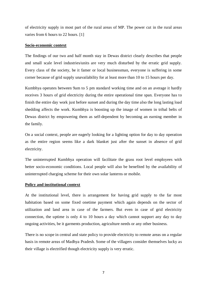of electricity supply in most part of the rural areas of MP. The power cut in the rural areas varies from 6 hours to 22 hours. [1]

#### **Socio-economic context**

The findings of our two and half month stay in Dewas district clearly describes that people and small scale level industries/units are very much disturbed by the erratic grid supply. Every class of the society, be it famer or local businessman, everyone is suffering in some corner because of grid supply unavailability for at least more than 10 to 15 hours per day.

Kumbhya operates between 9am to 5 pm standard working time and on an average it hardly receives 3 hours of grid electricity during the entire operational time span. Everyone has to finish the entire day work just before sunset and during the day time also the long lasting load shedding affects the work. Kumbhya is boosting up the image of women in tribal belts of Dewas district by empowering them as self-dependent by becoming an earning member in the family.

On a social context, people are eagerly looking for a lighting option for day to day operation as the entire region seems like a dark blanket just after the sunset in absence of grid electricity.

The uninterrupted Kumbhya operation will facilitate the grass root level employees with better socio-economic conditions. Local people will also be benefited by the availability of uninterrupted charging scheme for their own solar lanterns or mobile.

#### **Policy and institutional context**

At the institutional level, there is arrangement for having grid supply to the far most habitation based on some fixed onetime payment which again depends on the sector of utilization and land area in case of the farmers. But even in case of grid electricity connection, the uptime is only 4 to 10 hours a day which cannot support any day to day ongoing activities, be it garments production, agriculture needs or any other business.

There is no scope in central and state policy to provide electricity to remote areas on a regular basis in remote areas of Madhya Pradesh. Some of the villagers consider themselves lucky as their village is electrified though electricity supply is very erratic.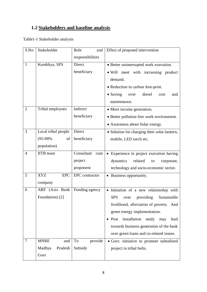## **1.2 Stakeholders and baseline analysis**

Table1-1 Stakeholder analysis

| S.No           | Stakeholder              | Role<br>Effect of proposed intervention<br>and |                                                        |  |
|----------------|--------------------------|------------------------------------------------|--------------------------------------------------------|--|
|                |                          | responsibilities                               |                                                        |  |
| 1              | Kumbhya, SPS             | Direct                                         | • Better uninterrupted work execution.                 |  |
|                |                          | beneficiary                                    | • Will meet with increasing product                    |  |
|                |                          |                                                | demand.                                                |  |
|                |                          |                                                | • Reduction in carbon foot-print.                      |  |
|                |                          |                                                | $\bullet$ Saving<br>diesel<br>over<br>cost<br>and      |  |
|                |                          |                                                | maintenance.                                           |  |
| $\overline{2}$ | Tribal employees         | Indirect                                       | • More income generation.                              |  |
|                |                          | beneficiary                                    | • Better pollution free work environment.              |  |
|                |                          |                                                | • Awareness about Solar energy.                        |  |
| 3              | Local tribal people      | Direct                                         | • Solution for charging their solar-lantern,           |  |
|                | $(95-98%$<br>of          | beneficiary                                    | mobile, LED torch etc.                                 |  |
|                | population)              |                                                |                                                        |  |
| $\overline{4}$ | <b>IITB</b> team         | Consultant<br>cum                              | Experience in project execution having                 |  |
|                |                          | project                                        | dynamics<br>related<br>corporate,<br>to                |  |
|                |                          | proponent                                      | technology and socio-economic sector.                  |  |
| 5              | <b>XYZ</b><br><b>EPC</b> | EPC contractor                                 | • Business opportunity.                                |  |
|                | company                  |                                                |                                                        |  |
| 6              | ABF (Axis Bank           | Funding agency                                 | • Initiation of a new relationship with                |  |
|                | Foundation) [2]          |                                                | <b>SPS</b><br>Sustainable<br>providing<br>over         |  |
|                |                          |                                                | livelihood, alleviation of poverty. And                |  |
|                |                          |                                                | green energy implementation.                           |  |
|                |                          |                                                | installation<br>study<br>$\bullet$ Post<br>may<br>lead |  |
|                |                          |                                                | towards business generation of the bank                |  |
|                |                          |                                                | over green loans and co-related issues.                |  |
| 7              | <b>MNRE</b><br>and       | To<br>provide                                  | • Govt. initiative to promote subsidized               |  |
|                | Pradesh<br>Madhya        | Subsidy                                        | project in tribal belts.                               |  |
|                | Govt                     |                                                |                                                        |  |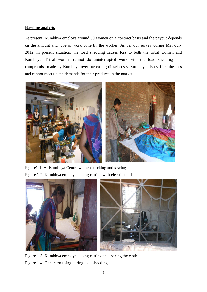#### **Baseline analysis**

At present, Kumbhya employs around 50 women on a contract basis and the payout depends on the amount and type of work done by the worker. As per our survey during May-July 2012, in present situation, the load shedding causes loss to both the tribal women and Kumbhya. Tribal women cannot do uninterrupted work with the load shedding and compromise made by Kumbhya over increasing diesel costs. Kumbhya also suffers the loss and cannot meet up the demands for their products in the market.



Figure1-1: At Kumbhya Centre women stitching and sewing Figure 1-2: Kumbhya employee doing cutting with electric machine



Figure 1-3: Kumbhya employee doing cutting and ironing the cloth Figure 1-4: Generator using during load shedding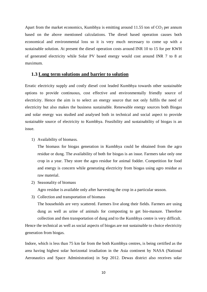Apart from the market economics, Kumbhya is emitting around  $11.55$  ton of  $CO<sub>2</sub>$  per annum based on the above mentioned calculations. The diesel based operation causes both economical and environmental loss so it is very much necessary to come up with a sustainable solution. At present the diesel operation costs around INR 10 to 15 for per KWH of generated electricity while Solar PV based energy would cost around INR 7 to 8 at maximum.

#### **1.3 Long term solutions and barrier to solution**

Erratic electricity supply and costly diesel cost leaded Kumbhya towards other sustainable options to provide continuous, cost effective and environmentally friendly source of electricity. Hence the aim is to select an energy source that not only fulfils the need of electricity but also makes the business sustainable. Renewable energy sources both Biogas and solar energy was studied and analysed both in technical and social aspect to provide sustainable source of electricity to Kumbhya. Feasibility and sustainability of biogas is an issue.

1) Availability of biomass.

The biomass for biogas generation in Kumbhya could be obtained from the agro residue or dung. The availability of both for biogas is an issue. Farmers take only one crop in a year. They store the agro residue for animal fodder. Competition for food and energy is concern while generating electricity from biogas using agro residue as raw material.

2) Seasonality of biomass

Agro residue is available only after harvesting the crop in a particular season.

3) Collection and transportation of biomass

The households are very scattered. Farmers live along their fields. Farmers are using dung as well as urine of animals for composting to get bio-manure. Therefore collection and then transportation of dung and to the Kumbhya centre is very difficult.

Hence the technical as well as social aspects of biogas are not sustainable to choice electricity generation from biogas.

Indore, which is less than 75 km far from the both Kumbhya centres, is being certified as the area having highest solar horizontal irradiation in the Asia continent by NASA (National Aeronautics and Space Administration) in Sep 2012. Dewas district also receives solar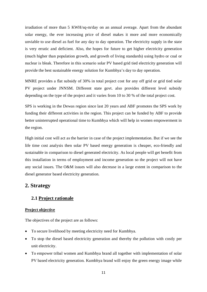irradiation of more than 5 KWH/sq-m/day on an annual average. Apart from the abundant solar energy, the ever increasing price of diesel makes it more and more economically unviable to use diesel as fuel for any day to day operation. The electricity supply in the state is very erratic and deficient. Also, the hopes for future to get higher electricity generation (much higher than population growth, and growth of living standards) using hydro or coal or nuclear is bleak. Therefore in this scenario solar PV based grid tied electricity generation will provide the best sustainable energy solution for Kumbhya's day to day operation.

MNRE provides a flat subsidy of 30% in total project cost for any off grid or grid tied solar PV project under JNNSM. Different state govt. also provides different level subsidy depending on the type of the project and it varies from 10 to 30 % of the total project cost.

SPS is working in the Dewas region since last 20 years and ABF promotes the SPS work by funding their different activities in the region. This project can be funded by ABF to provide better uninterrupted operational time to Kumbhya which will help in women empowerment in the region.

High initial cost will act as the barrier in case of the project implementation. But if we see the life time cost analysis then solar PV based energy generation is cheaper, eco-friendly and sustainable in comparison to diesel generated electricity. As local people will get benefit from this installation in terms of employment and income generation so the project will not have any social issues. The O&M issues will also decrease in a large extent in comparison to the diesel generator based electricity generation.

#### **2. Strategy**

#### **2.1 Project rationale**

#### **Project objective**

The objectives of the project are as follows:

- To secure livelihood by meeting electricity need for Kumbhya.
- To stop the diesel based electricity generation and thereby the pollution with costly per unit electricity.
- To empower tribal women and Kumbhya brand all together with implementation of solar PV based electricity generation. Kumbhya brand will enjoy the green energy image while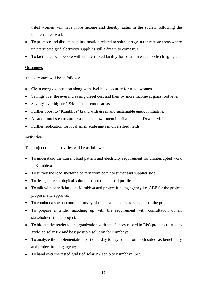tribal women will have more income and thereby status in the society following the uninterrupted work.

- To promote and disseminate information related to solar energy in the remote areas where uninterrupted grid electricity supply is still a dream to come true.
- To facilitate local people with uninterrupted facility for solar lantern, mobile charging etc.

#### **Outcomes**

The outcomes will be as follows:

- Clean energy generation along with livelihood security for tribal women.
- Savings over the ever increasing diesel cost and their by more income at grass root level.
- Savings over higher O&M cost in remote areas.
- Further boost to "Kumbhya" brand with green and sustainable energy initiative.
- An additional step towards women empowerment in tribal belts of Dewas, M.P.
- Further replication for local small scale units in diversified fields.

#### **Activities**

The project related activities will be as follows:

- To understand the current load pattern and electricity requirement for uninterrupted work in Kumbhya.
- To survey the load shedding pattern from both consumer and supplier side.
- To design a technological solution based on the load profile.
- To talk with beneficiary i.e. Kumbhya and project funding agency i.e. ABF for the project proposal and approval.
- To conduct a socio-economic survey of the local place for sustenance of the project.
- To prepare a tender matching up with the requirement with consultation of all stakeholders in the project.
- To bid out the tender to an organization with satisfactory record in EPC projects related to grid-tied solar PV and best possible solution for Kumbhya.
- To analyze the implementation part on a day to day basis from both sides i.e. beneficiary and project funding agency.
- To hand over the tested grid tied solar PV setup to Kumbhya, SPS.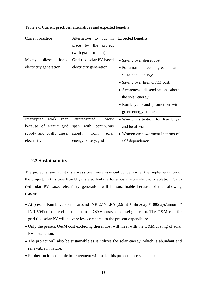| Current practice          | Alternative to put in<br>place by the project | Expected benefits                   |  |  |
|---------------------------|-----------------------------------------------|-------------------------------------|--|--|
|                           | (with grant support)                          |                                     |  |  |
| Mostly<br>diesel<br>based | Grid-tied solar PV based                      | • Saving over diesel cost.          |  |  |
| electricity generation    | electricity generation                        | • Pollution<br>free<br>green<br>and |  |  |
|                           |                                               | sustainable energy.                 |  |  |
|                           |                                               | • Saving over high O&M cost.        |  |  |
|                           |                                               | • Awareness dissemination about     |  |  |
|                           |                                               | the solar energy.                   |  |  |
|                           |                                               | • Kumbhya brand promotion with      |  |  |
|                           |                                               | green energy banner.                |  |  |
| Interrupted work<br>span  | Uninterrupted<br>work                         | • Win-win situation for Kumbhya     |  |  |
| because of erratic grid   | span with continuous                          | and local women.                    |  |  |
| supply and costly diesel  | from<br>supply<br>solar                       | • Women empowerment in terms of     |  |  |
| electricity               | energy/battery/grid                           | self dependency.                    |  |  |

Table 2-1 Current practices, alternatives and expected benefits

#### **2.2 Sustainability**

The project sustainability is always been very essential concern after the implementation of the project. In this case Kumbhya is also looking for a sustainable electricity solution. Gridtied solar PV based electricity generation will be sustainable because of the following reasons:

- At present Kumbhya spends around INR 2.17 LPA (2.9 lit \* 5hrs/day \* 300days/annum \* INR 50/lit) for diesel cost apart from O&M costs for diesel generator. The O&M cost for grid-tied solar PV will be very less compared to the present expenditure.
- Only the present O&M cost excluding diesel cost will meet with the O&M costing of solar PV installation.
- The project will also be sustainable as it utilizes the solar energy, which is abundant and renewable in nature.
- Further socio-economic improvement will make this project more sustainable.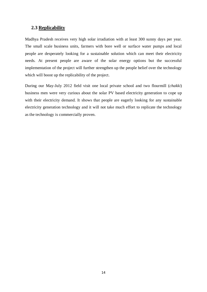### **2.3 Replicability**

Madhya Pradesh receives very high solar irradiation with at least 300 sunny days per year. The small scale business units, farmers with bore well or surface water pumps and local people are desperately looking for a sustainable solution which can meet their electricity needs. At present people are aware of the solar energy options but the successful implementation of the project will further strengthen up the people belief over the technology which will boost up the replicability of the project.

During our May-July 2012 field visit one local private school and two flourmill (*chakki*) business men were very curious about the solar PV based electricity generation to cope up with their electricity demand. It shows that people are eagerly looking for any sustainable electricity generation technology and it will not take much effort to replicate the technology as the technology is commercially proven.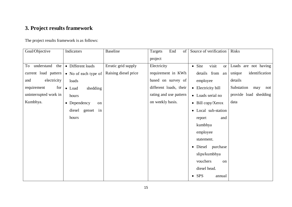# **3. Project results framework**

## The project results framework is as follows:

| Goal/Objective          | Indicators                 | <b>Baseline</b>      | End<br>of<br>Targets   | Source of verification               | <b>Risks</b>             |
|-------------------------|----------------------------|----------------------|------------------------|--------------------------------------|--------------------------|
|                         |                            |                      | project                |                                      |                          |
| understand<br>the<br>To | • Different loads          | Erratic grid supply  | Electricity            | $\bullet$ Site<br>visit<br><b>or</b> | Loads are not having     |
| current load pattern    | • No of each type of       | Raising diesel price | requirement in KWh     | details from an                      | identification<br>unique |
| electricity<br>and      | loads                      |                      | based on survey of     | employee                             | details                  |
| requirement<br>for      | shedding<br>• Load         |                      | different loads, their | • Electricity bill                   | Substation<br>may<br>not |
| uninterrupted work in   | hours                      |                      | rating and use pattern | • Loads serial no                    | provide load shedding    |
| Kumbhya.                | $\bullet$ Dependency<br>on |                      | on weekly basis.       | $\bullet$ Bill copy/Xerox            | data                     |
|                         | in<br>diesel genset        |                      |                        | • Local sub-station                  |                          |
|                         | hours                      |                      |                        | and<br>report                        |                          |
|                         |                            |                      |                        | kumbhya                              |                          |
|                         |                            |                      |                        | employee                             |                          |
|                         |                            |                      |                        | statement.                           |                          |
|                         |                            |                      |                        | • Diesel purchase                    |                          |
|                         |                            |                      |                        | slips/kumbhya                        |                          |
|                         |                            |                      |                        | vouchers<br>on                       |                          |
|                         |                            |                      |                        | diesel head.                         |                          |
|                         |                            |                      |                        | <b>SPS</b><br>annual<br>$\bullet$    |                          |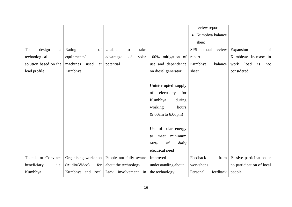|                       |                        |                          |                               | review report<br>• Kumbhya balance<br>sheet |                           |
|-----------------------|------------------------|--------------------------|-------------------------------|---------------------------------------------|---------------------------|
| design<br>To<br>a     | Rating<br>of           | Unable<br>take<br>to     |                               | <b>SPS</b><br>annual review                 | Expansion<br>of           |
| technological         | equipments/            | advantage<br>of<br>solar | 100% mitigation of            | report                                      | Kumbhya/ increase in      |
| solution based on the | machines<br>used<br>at | potential                | use and dependence            | Kumbhya<br>balance                          | work<br>load<br>is<br>not |
| load profile          | Kumbhya                |                          | on diesel generator           | sheet                                       | considered                |
|                       |                        |                          |                               |                                             |                           |
|                       |                        |                          | Uninterrupted supply          |                                             |                           |
|                       |                        |                          | electricity<br>of<br>for      |                                             |                           |
|                       |                        |                          | Kumbhya<br>during             |                                             |                           |
|                       |                        |                          | working<br>hours              |                                             |                           |
|                       |                        |                          | $(9:00am \text{ to } 6:00pm)$ |                                             |                           |
|                       |                        |                          |                               |                                             |                           |
|                       |                        |                          | Use of solar energy           |                                             |                           |
|                       |                        |                          | meet minimum<br>to            |                                             |                           |
|                       |                        |                          | of<br>60%<br>daily            |                                             |                           |
|                       |                        |                          | electrical need               |                                             |                           |
| To talk or Convince   | Organising workshop    | People not fully aware   | Improved                      | Feedback<br>from                            | Passive participation or  |
| beneficiary<br>i.e.   | (Audio/Video)<br>for   | about the technology     | understanding about           | workshops                                   | no participation of local |
| Kumbhya               | Kumbhya and local      | Lack involvement in      | the technology                | feedback<br>Personal                        | people                    |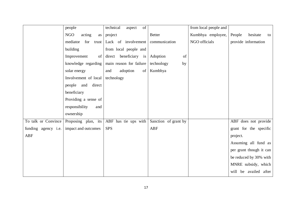|                            | people                         | technical<br>aspect<br>of        |                      | from local people and |                          |
|----------------------------|--------------------------------|----------------------------------|----------------------|-----------------------|--------------------------|
|                            | NGO<br>acting<br>as            | project                          | <b>Better</b>        | Kumbhya employee,     | People<br>hesitate<br>to |
|                            | mediator                       | for trust Lack of involvement    | communication        | NGO officials         | provide information      |
|                            | building                       | from local people and            |                      |                       |                          |
|                            | Improvement<br>of <sub>l</sub> | $direct \n  benchmark \n  is \n$ | Adoption<br>of       |                       |                          |
|                            | knowledge regarding            | main reason for failure          | technology<br>by     |                       |                          |
|                            | solar energy                   | of<br>adoption<br>and            | Kumbhya              |                       |                          |
|                            | Involvement of local           | technology                       |                      |                       |                          |
|                            | direct<br>people and           |                                  |                      |                       |                          |
|                            | beneficiary                    |                                  |                      |                       |                          |
|                            | Providing a sense of           |                                  |                      |                       |                          |
|                            | responsibility<br>and          |                                  |                      |                       |                          |
|                            | ownership                      |                                  |                      |                       |                          |
| To talk or Convince        | Proposing plan, its            | ABF has tie ups with             | Sanction of grant by |                       | ABF does not provide     |
| funding agency <i>i.e.</i> | impact and outcomes            | <b>SPS</b>                       | <b>ABF</b>           |                       | grant for the specific   |
| <b>ABF</b>                 |                                |                                  |                      |                       | project.                 |
|                            |                                |                                  |                      |                       | Assuming all fund as     |
|                            |                                |                                  |                      |                       | per grant though it can  |
|                            |                                |                                  |                      |                       | be reduced by 30% with   |
|                            |                                |                                  |                      |                       | MNRE subsidy, which      |
|                            |                                |                                  |                      |                       | will be availed after    |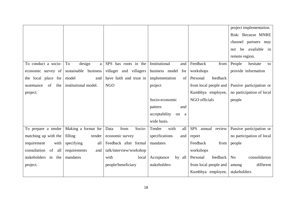|                           |                      |                         |                       |                             | project implementation.         |
|---------------------------|----------------------|-------------------------|-----------------------|-----------------------------|---------------------------------|
|                           |                      |                         |                       |                             | Risk: Because MNRE              |
|                           |                      |                         |                       |                             | channel partners may            |
|                           |                      |                         |                       |                             | be available in<br>not          |
|                           |                      |                         |                       |                             | remote region.                  |
| To conduct a socio-       | design<br>To<br>a    | SPS has roots in the    | Institutional<br>and  | Feedback<br>from            | People<br>hesitate<br>to        |
| economic survey of        | sustainable business | villager and villagers  | business model<br>for | workshops                   | provide information             |
| the local place for       | model<br>and         | have faith and trust in | implementation<br>of  | feedback<br>Personal        |                                 |
| of<br>the<br>sustenance   | institutional model. | <b>NGO</b>              | project               | from local people and       | Passive participation or        |
| project.                  |                      |                         |                       | Kumbhya employee,           | no participation of local       |
|                           |                      |                         | Socio-economic        | NGO officials               | people                          |
|                           |                      |                         | pattern<br>and        |                             |                                 |
|                           |                      |                         | acceptability<br>on a |                             |                                 |
|                           |                      |                         | wide basis.           |                             |                                 |
| To prepare a tender       | Making a format for  | Socio-<br>from<br>Data  | Tender<br>with<br>all | <b>SPS</b><br>annual review | Passive participation or        |
| matching up with the      | filling<br>tender    | economic survey         | specifications<br>and | report                      | no participation of local       |
| requirement<br>with       | specifying<br>all    | Feedback after formal   | mandates              | Feedback<br>from            | people                          |
| consultation<br>of<br>all | requirements<br>and  | talk/interview/workshop |                       | workshops                   |                                 |
| stakeholders in the       | mandates             | with<br>local           | Acceptance<br>by all  | Personal<br>feedback        | consolidation<br>N <sub>0</sub> |
| project.                  |                      | people/beneficiary      | stakeholders          | from local people and       | different<br>among              |
|                           |                      |                         |                       | Kumbhya employee,           | stakeholders                    |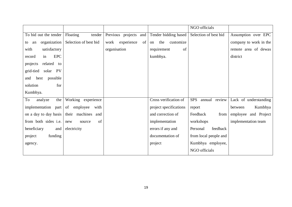|                            |                        |                          |                        | NGO officials               |                        |
|----------------------------|------------------------|--------------------------|------------------------|-----------------------------|------------------------|
| To bid out the tender      | Floating<br>tender     | Previous projects and    | Tender bidding based   | Selection of best bid       | Assumption over EPC    |
| organization<br>an<br>to   | Selection of best bid  | experience<br>of<br>work | the<br>customize<br>on |                             | company to work in the |
| satisfactory<br>with       |                        | organisation             | requirement<br>of      |                             | remote area of dewas   |
| <b>EPC</b><br>in<br>record |                        |                          | kumbhya.               |                             | district               |
| related to<br>projects     |                        |                          |                        |                             |                        |
| grid-tied<br>solar PV      |                        |                          |                        |                             |                        |
| best possible<br>and       |                        |                          |                        |                             |                        |
| for<br>solution            |                        |                          |                        |                             |                        |
| Kumbhya.                   |                        |                          |                        |                             |                        |
| To<br>analyze<br>the       | Working experience     |                          | Cross verification of  | annual review<br><b>SPS</b> | Lack of understanding  |
| implementation<br>part     | employee<br>of<br>with |                          | project specifications | report                      | Kumbhya<br>between     |
| on a day to day basis      | their machines and     |                          | and correction of      | Feedback<br>from            | employee and Project   |
| from both sides i.e.       | of<br>new<br>source    |                          | implementation         | workshops                   | implementation team    |
| beneficiary<br>and         | electricity            |                          | errors if any and      | feedback<br>Personal        |                        |
| funding<br>project         |                        |                          | documentation of       | from local people and       |                        |
| agency.                    |                        |                          | project                | Kumbhya employee,           |                        |
|                            |                        |                          |                        | NGO officials               |                        |
|                            |                        |                          |                        |                             |                        |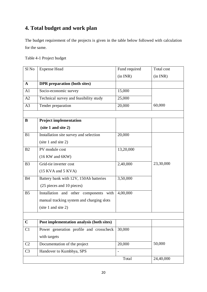# **4. Total budget and work plan**

The budget requirement of the projects is given in the table below followed with calculation for the same.

| Table 4-1 Project budget |  |  |
|--------------------------|--|--|
|--------------------------|--|--|

| Sl <sub>No</sub> | <b>Expense Head</b>                       | Fund required                | Total cost |
|------------------|-------------------------------------------|------------------------------|------------|
|                  |                                           | (in INR)                     | (in INR)   |
| $\mathbf{A}$     | <b>DPR</b> preparation (both sites)       |                              |            |
| A1               | Socio-economic survey                     | 15,000                       |            |
| A2               | Technical survey and feasibility study    | 25,000                       |            |
| A3               | Tender preparation                        | 20,000                       | 60,000     |
| B                | <b>Project implementation</b>             |                              |            |
|                  | (site 1 and site 2)                       |                              |            |
| B1               | Installation site survey and selection    | 20,000                       |            |
|                  | (site 1 and site 2)                       |                              |            |
| B <sub>2</sub>   | PV module cost                            | 13,20,000                    |            |
|                  | $(16 \text{ KW}$ and $6 \text{ KW})$      |                              |            |
| B <sub>3</sub>   | Grid-tie inverter cost                    | 2,40,000                     | 23,30,000  |
|                  | $(15$ KVA and $5$ KVA)                    |                              |            |
| <b>B4</b>        | Battery bank with 12V, 150Ah batteries    | 3,50,000                     |            |
|                  | (25 pieces and 10 pieces)                 |                              |            |
| B <sub>5</sub>   | Installation and other components with    | 4,00,000                     |            |
|                  | manual tracking system and charging slots |                              |            |
|                  | (site 1 and site 2)                       |                              |            |
|                  |                                           |                              |            |
| $\mathbf C$      | Post implementation analysis (both sites) |                              |            |
| C1               | Power generation profile and crosscheck   | 30,000                       |            |
|                  | with targets                              |                              |            |
| C2               | Documentation of the project              | 20,000                       | 50,000     |
| C <sub>3</sub>   | Handover to Kumbhya, SPS                  | $\qquad \qquad \blacksquare$ |            |
|                  |                                           | Total                        | 24,40,000  |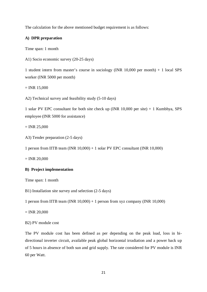The calculation for the above mentioned budget requirement is as follows:

#### **A) DPR preparation**

Time span: 1 month

A1) Socio economic survey (20-25 days)

1 student intern from master's course in sociology (INR 10,000 per month) + 1 local SPS worker (INR 5000 per month)

 $=$  INR 15,000

A2) Technical survey and feasibility study (5-10 days)

1 solar PV EPC consultant for both site check up (INR 10,000 per site) + 1 Kumbhya, SPS employee (INR 5000 for assistance)

 $=$  INR 25,000

A3) Tender preparation (2-5 days)

1 person from IITB team (INR 10,000) + 1 solar PV EPC consultant (INR 10,000)

 $=$  INR 20,000

#### **B) Project implementation**

Time span: 1 month

B1) Installation site survey and selection (2-5 days)

1 person from IITB team (INR  $10,000$ ) + 1 person from xyz company (INR  $10,000$ )

 $=$  INR 20,000

#### B2) PV module cost

The PV module cost has been defined as per depending on the peak load, loss in bidirectional inverter circuit, available peak global horizontal irradiation and a power back up of 5 hours in absence of both sun and grid supply. The rate considered for PV module is INR 60 per Watt.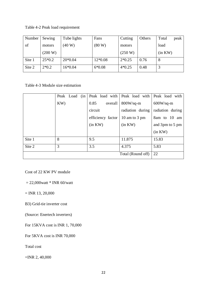Table 4-2 Peak load requirement

| Number | Sewing   | Tube lights | Fans      | Cutting  | Others | Total   | peak |
|--------|----------|-------------|-----------|----------|--------|---------|------|
| of     | motors   | (40 W)      | (80 W)    | motors   |        | load    |      |
|        | (200 W)  |             |           | (250 W)  |        | (in KW) |      |
| Site 1 | $25*0.2$ | $20*0.04$   | $12*0.08$ | $2*0.25$ | 0.76   | 8       |      |
| Site 2 | $2*0.2$  | 16*0.04     | $6*0.08$  | $4*0.25$ | 0.48   |         |      |

Table 4-3 Module size estimation

|        |     | Peak Load | (in |         |                   |         | Peak load with Peak load with Peak load with |  |                    |                  |
|--------|-----|-----------|-----|---------|-------------------|---------|----------------------------------------------|--|--------------------|------------------|
|        | KW) |           |     | 0.85    |                   | overall | $800W/sq-m$                                  |  | $600W\text{/sq-m}$ |                  |
|        |     |           |     | circuit |                   |         | radiation during                             |  |                    | radiation during |
|        |     |           |     |         | efficiency factor |         | 10 am to 3 pm                                |  |                    | 8am to 10 am     |
|        |     |           |     | (in KW) |                   |         | (in KW)                                      |  |                    | and 3pm to 5 pm  |
|        |     |           |     |         |                   |         |                                              |  | (in KW)            |                  |
| Site 1 | 8   |           |     | 9.5     |                   |         | 11.875                                       |  | 15.83              |                  |
| Site 2 | 3   |           |     | 3.5     |                   |         | 4.375                                        |  | 5.83               |                  |
|        |     |           |     |         |                   |         | Total (Round off)                            |  | 22                 |                  |

Cost of 22 KW PV module

 $= 22,000$ watt \* INR 60/watt

 $=$  INR 13, 20,000

B3) Grid-tie inverter cost

(Source: Enertech inverters)

For 15KVA cost is INR 1, 70,000

For 5KVA cost is INR 70,000

Total cost

=INR 2, 40,000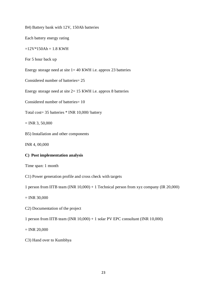B4) Battery bank with 12V, 150Ah batteries

Each battery energy rating

 $=12V*150Ah = 1.8 KWH$ 

For 5 hour back up

Energy storage need at site  $1 = 40$  KWH i.e. approx 23 batteries

Considered number of batteries= 25

Energy storage need at site 2= 15 KWH i.e. approx 8 batteries

Considered number of batteries= 10

Total cost= 35 batteries \* INR 10,000/ battery

 $=$  INR 3, 50,000

B5) Installation and other components

INR 4, 00,000

#### **C) Post implementation analysis**

Time span: 1 month

C1) Power generation profile and cross check with targets

1 person from IITB team (INR 10,000) + 1 Technical person from xyz company (IR 20,000)

 $=$  INR 30,000

C2) Documentation of the project

1 person from IITB team (INR 10,000) + 1 solar PV EPC consultant (INR 10,000)

 $=$  INR 20,000

C3) Hand over to Kumbhya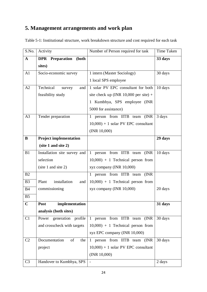# **5. Management arrangements and work plan**

Table 5-1: Institutional structure, work breakdown structure and cost required for each task

| S.No.          | Activity                           | Number of Person required for task             | Time Taken |
|----------------|------------------------------------|------------------------------------------------|------------|
| $\mathbf A$    | <b>DPR</b><br>Preparation<br>(both |                                                | 33 days    |
|                | sites)                             |                                                |            |
| A <sub>1</sub> | Socio-economic survey              | 1 intern (Master Sociology)                    | 30 days    |
|                |                                    | 1 local SPS employee                           |            |
| A2             | Technical<br>survey<br>and         | 1 solar PV EPC consultant for both             | 10 days    |
|                | feasibility study                  | site check up (INR $10,000$ per site) +        |            |
|                |                                    | 1 Kumbhya, SPS employee (INR                   |            |
|                |                                    | 5000 for assistance)                           |            |
| A <sub>3</sub> | Tender preparation                 | 1 person from IITB team (INR                   | 3 days     |
|                |                                    | $10,000$ + 1 solar PV EPC consultant           |            |
|                |                                    | (INR 10,000)                                   |            |
| $\bf{B}$       | <b>Project implementation</b>      |                                                | 29 days    |
|                | (site 1 and site 2)                |                                                |            |
| B1             | Installation site survey and       | person from IITB team<br>(INR)<br>$\mathbf{1}$ | 10 days    |
|                | selection                          | $10,000$ + 1 Technical person from             |            |
|                | (site 1 and site 2)                | xyz company (INR 10,000)                       |            |
| B2             |                                    | 1 person from IITB team (INR                   |            |
| B <sub>3</sub> | Plant<br>installation<br>and       | $10,000$ + 1 Technical person from             |            |
| <b>B4</b>      | commissioning                      | xyz company (INR 10,000)                       | 20 days    |
| B <sub>5</sub> |                                    |                                                |            |
| $\mathbf C$    | Post<br>implementation             |                                                | 31 days    |
|                | analysis (both sites)              |                                                |            |
| C1             | Power generation profile           | 1 person from IITB team (INR                   | 30 days    |
|                | and crosscheck with targets        | $10,000$ + 1 Technical person from             |            |
|                |                                    | xyz EPC company (INR 10,000)                   |            |
| C <sub>2</sub> | of<br>Documentation<br>the         | person from IITB team (INR<br>$1 \quad$        | 30 days    |
|                | project                            | $10,000$ + 1 solar PV EPC consultant           |            |
|                |                                    | (INR 10,000)                                   |            |
| C <sub>3</sub> | Handover to Kumbhya, SPS           |                                                | 2 days     |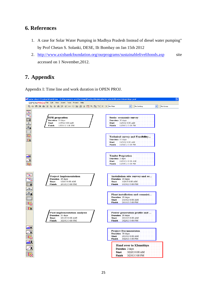# **6. References**

- 1. A case for Solar Water Pumping in Madhya Pradesh Instead of diesel water pumping" by Prof Chetan S. Solanki, DESE, IIt Bombay on Jan 15th 2012
- 2. <http://www.axisbankfoundation.org/ourprograms/sustainablelivelihoods.asp> site accessed on 1 November,2012.

# **7. Appendix**

Appendix I: Time line and work duration in OPEN PROJ.

| E solar electrificaion khumbhya - C:\Documents and Settings\Pavitra\Desktop\solar electrificaion khumbhya.pod                                                                             |                                                                                                                                                                                                                                                                                                                                                                                                                         |
|-------------------------------------------------------------------------------------------------------------------------------------------------------------------------------------------|-------------------------------------------------------------------------------------------------------------------------------------------------------------------------------------------------------------------------------------------------------------------------------------------------------------------------------------------------------------------------------------------------------------------------|
| OPENPROJ File Edit View Insert Tools Project Help                                                                                                                                         |                                                                                                                                                                                                                                                                                                                                                                                                                         |
| <b>B. - B. - B. A. B. A.</b><br><b>∂ € ⊗ ◈ ■ ■ ★ 翮 ● 图 〒 ← &gt; No Filter</b>                                                                                                             | No Sorting<br>No Group                                                                                                                                                                                                                                                                                                                                                                                                  |
| .<br>$\boxed{\mathbb{F}_{\Xi_{\omega}}}$<br>Feg<br><b>DPR</b> prepration<br><b>III</b><br>Duration 33 days<br>11/5/12 8:00 AM<br>Start<br>E<br>Finish<br>12/19/12 5:00 PM<br>$\mathbb{E}$ | Socio- economic survey<br>Duration 30 days<br>11/5/12 8:00:AM<br>Start:<br>Finish<br>12/14/12 5:00 PM                                                                                                                                                                                                                                                                                                                   |
| 眼<br>E                                                                                                                                                                                    | Technical survey and Feasibility<br>Duration 10 days<br>Start:::: 11/5/12 8:00: AM<br>Finish 11/16/12 5:00 PM                                                                                                                                                                                                                                                                                                           |
| <u>adl A</u>                                                                                                                                                                              | <b>Tender Prepration</b><br>Duration 3 days<br>Start:<br>12/15/12 8:00:AM<br>12/19/12 5:00 PM<br>Finish                                                                                                                                                                                                                                                                                                                 |
| Project Implementation<br>Duration 29 days<br><b>Start</b><br>1/2/13 8:00 AM<br>2/11/13 5:00 PM<br>Finish<br>暈<br>ॾॾ¥                                                                     | Installation site survey and se<br>Duration : 10 days : :<br>Start :::1/2/13 8:00 AM<br><b>Finish</b> : 1/15/13 5:00 PM :                                                                                                                                                                                                                                                                                               |
| Œ                                                                                                                                                                                         | Plant installation and commisi<br>Duration 20 days<br>Start :::1/15/13/8:00 AM<br><b>Finish</b> 2/11/13 5:00 PM                                                                                                                                                                                                                                                                                                         |
| <b>Post implementation analysis</b><br>Duration 31 days<br>2/11/13 8:00 AM<br><b>Start</b><br>Finish<br>3/25/13 5:00 PM<br><u>adla</u>                                                    | Power generation profile and<br>Duration 130 days [111]<br>Start :<br>2/11/13 8:00 AM<br>Finish-<br>$\frac{1}{2}$ $\frac{1}{2}$ $\frac{1}{2}$ $\frac{1}{2}$ $\frac{1}{2}$ $\frac{1}{2}$ $\frac{1}{2}$ $\frac{1}{2}$ $\frac{1}{2}$ $\frac{1}{2}$ $\frac{1}{2}$ $\frac{1}{2}$ $\frac{1}{2}$ $\frac{1}{2}$ $\frac{1}{2}$ $\frac{1}{2}$ $\frac{1}{2}$ $\frac{1}{2}$ $\frac{1}{2}$ $\frac{1}{2}$ $\frac{1}{2}$ $\frac{1}{2}$ |
| <u>aill i</u>                                                                                                                                                                             | Project Documentaion:<br>Duration 30 days<br>Start U<br>12/11/13 8:00 AM<br><b>Finish</b> 3/22/13 5:00 PM<br>Hand over to Khumbhya                                                                                                                                                                                                                                                                                      |
|                                                                                                                                                                                           | Duration 2 days<br>Start :<br>13/22/13.8:00 AM<br><b>Finish</b> : $3/25/13.5:00$ PM:                                                                                                                                                                                                                                                                                                                                    |